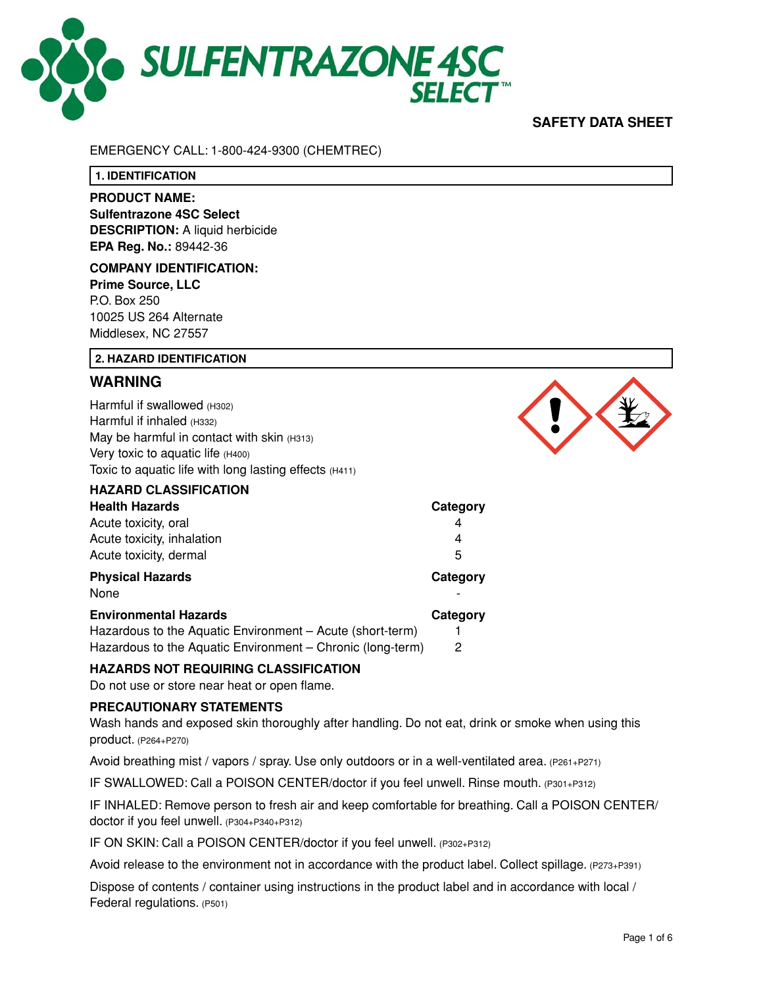

## **SAFETY DATA SHEET**

#### EMERGENCY CALL: 1-800-424-9300 (CHEMTREC)

**1. IDENTIFICATION**

# **PRODUCT NAME:**

**Sulfentrazone 4SC Select DESCRIPTION:** A liquid herbicide **EPA Reg. No.:** 89442-36

## **COMPANY IDENTIFICATION: Prime Source, LLC** P.O. Box 250 10025 US 264 Alternate

Middlesex, NC 27557

### **2. HAZARD IDENTIFICATION**

## **WARNING**

Harmful if swallowed (H302) Harmful if inhaled (H332) May be harmful in contact with skin (H313) Very toxic to aquatic life (H400) Toxic to aquatic life with long lasting effects (H411)

| <b>HAZARD CLASSIFICATION</b>                              |          |
|-----------------------------------------------------------|----------|
| <b>Health Hazards</b>                                     | Category |
| Acute toxicity, oral                                      | 4        |
| Acute toxicity, inhalation                                | 4        |
| Acute toxicity, dermal                                    | 5        |
|                                                           |          |
| <b>Physical Hazards</b>                                   | Category |
| None                                                      |          |
| <b>Environmental Hazards</b>                              | Category |
| Hazardous to the Aquatic Environment – Acute (short-term) |          |

## **HAZARDS NOT REQUIRING CLASSIFICATION**

Do not use or store near heat or open flame.

#### **PRECAUTIONARY STATEMENTS**

Wash hands and exposed skin thoroughly after handling. Do not eat, drink or smoke when using this product. (P264+P270)

Avoid breathing mist / vapors / spray. Use only outdoors or in a well-ventilated area. (P261+P271)

IF SWALLOWED: Call a POISON CENTER/doctor if you feel unwell. Rinse mouth. (P301+P312)

IF INHALED: Remove person to fresh air and keep comfortable for breathing. Call a POISON CENTER/ doctor if you feel unwell. (P304+P340+P312)

IF ON SKIN: Call a POISON CENTER/doctor if you feel unwell. (P302+P312)

Avoid release to the environment not in accordance with the product label. Collect spillage. (P273+P391)

Dispose of contents / container using instructions in the product label and in accordance with local / Federal regulations. (P501)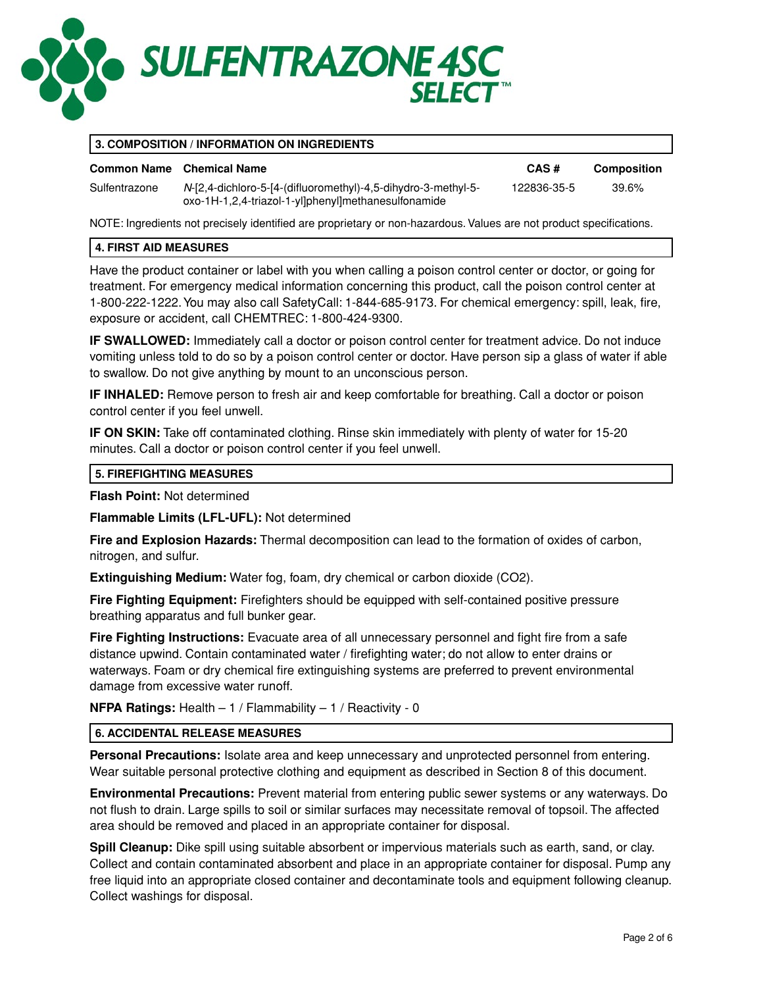

Sulfentrazone *N*-[2,4-dichloro-5-[4-(difluoromethyl)-4,5-dihydro-3-methyl-5-

oxo-1H-1,2,4-triazol-1-yl]phenyl]methanesulfonamide

### **3. COMPOSITION / INFORMATION ON INGREDIENTS**

#### **Common Name Chemical Name CAS # Composition**

122836-35-5 39.6%

NOTE: Ingredients not precisely identified are proprietary or non-hazardous. Values are not product specifications.

#### **4. FIRST AID MEASURES**

Have the product container or label with you when calling a poison control center or doctor, or going for treatment. For emergency medical information concerning this product, call the poison control center at 1-800-222-1222. You may also call SafetyCall: 1-844-685-9173. For chemical emergency: spill, leak, fire, exposure or accident, call CHEMTREC: 1-800-424-9300.

**IF SWALLOWED:** Immediately call a doctor or poison control center for treatment advice. Do not induce vomiting unless told to do so by a poison control center or doctor. Have person sip a glass of water if able to swallow. Do not give anything by mount to an unconscious person.

**IF INHALED:** Remove person to fresh air and keep comfortable for breathing. Call a doctor or poison control center if you feel unwell.

**IF ON SKIN:** Take off contaminated clothing. Rinse skin immediately with plenty of water for 15-20 minutes. Call a doctor or poison control center if you feel unwell.

#### **5. FIREFIGHTING MEASURES**

**Flash Point:** Not determined

**Flammable Limits (LFL-UFL):** Not determined

**Fire and Explosion Hazards:** Thermal decomposition can lead to the formation of oxides of carbon, nitrogen, and sulfur.

**Extinguishing Medium:** Water fog, foam, dry chemical or carbon dioxide (CO2).

**Fire Fighting Equipment:** Firefighters should be equipped with self-contained positive pressure breathing apparatus and full bunker gear.

**Fire Fighting Instructions:** Evacuate area of all unnecessary personnel and fight fire from a safe distance upwind. Contain contaminated water / firefighting water; do not allow to enter drains or waterways. Foam or dry chemical fire extinguishing systems are preferred to prevent environmental damage from excessive water runoff.

**NFPA Ratings:** Health – 1 / Flammability – 1 / Reactivity - 0

#### **6. ACCIDENTAL RELEASE MEASURES**

**Personal Precautions:** Isolate area and keep unnecessary and unprotected personnel from entering. Wear suitable personal protective clothing and equipment as described in Section 8 of this document.

**Environmental Precautions:** Prevent material from entering public sewer systems or any waterways. Do not flush to drain. Large spills to soil or similar surfaces may necessitate removal of topsoil. The affected area should be removed and placed in an appropriate container for disposal.

**Spill Cleanup:** Dike spill using suitable absorbent or impervious materials such as earth, sand, or clay. Collect and contain contaminated absorbent and place in an appropriate container for disposal. Pump any free liquid into an appropriate closed container and decontaminate tools and equipment following cleanup. Collect washings for disposal.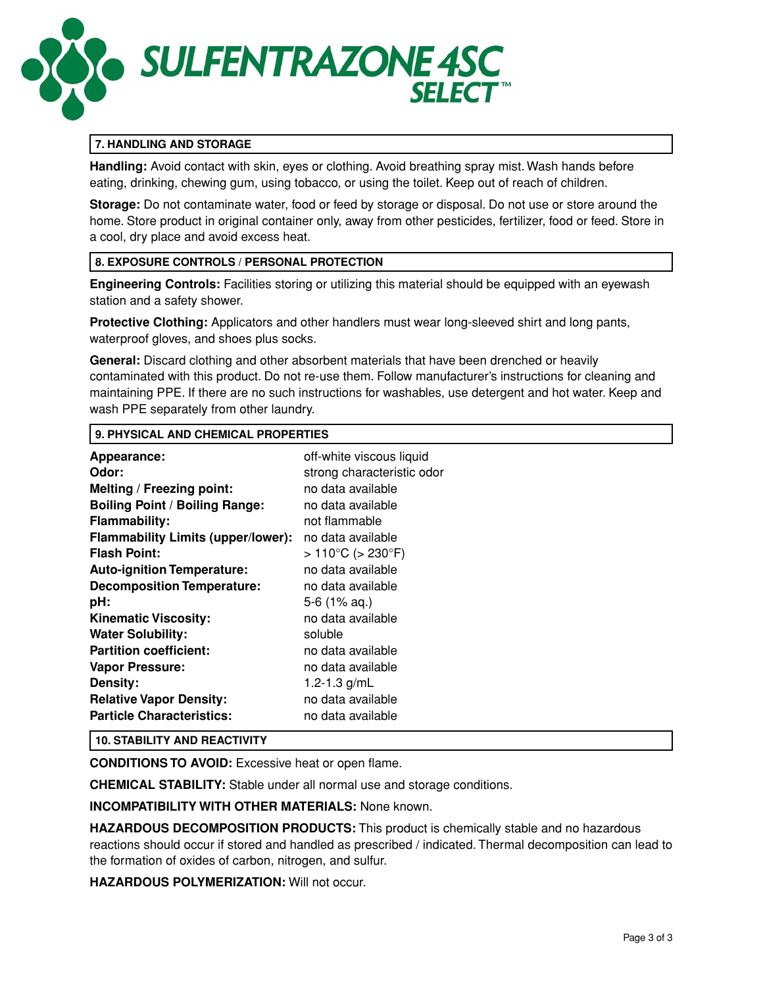

## **7. HANDLING AND STORAGE**

**Handling:** Avoid contact with skin, eyes or clothing. Avoid breathing spray mist. Wash hands before eating, drinking, chewing gum, using tobacco, or using the toilet. Keep out of reach of children.

**Storage:** Do not contaminate water, food or feed by storage or disposal. Do not use or store around the home. Store product in original container only, away from other pesticides, fertilizer, food or feed. Store in a cool, dry place and avoid excess heat.

#### **8. EXPOSURE CONTROLS / PERSONAL PROTECTION**

**Engineering Controls:** Facilities storing or utilizing this material should be equipped with an eyewash station and a safety shower.

**Protective Clothing:** Applicators and other handlers must wear long-sleeved shirt and long pants, waterproof gloves, and shoes plus socks.

**General:** Discard clothing and other absorbent materials that have been drenched or heavily contaminated with this product. Do not re-use them. Follow manufacturer's instructions for cleaning and maintaining PPE. If there are no such instructions for washables, use detergent and hot water. Keep and wash PPE separately from other laundry.

#### **9. PHYSICAL AND CHEMICAL PROPERTIES**

| Appearance:                               | off-white viscous liquid             |
|-------------------------------------------|--------------------------------------|
| Odor:                                     | strong characteristic odor           |
| Melting / Freezing point:                 | no data available                    |
| <b>Boiling Point / Boiling Range:</b>     | no data available                    |
| <b>Flammability:</b>                      | not flammable                        |
| <b>Flammability Limits (upper/lower):</b> | no data available                    |
| <b>Flash Point:</b>                       | $>110^{\circ}$ C ( $>230^{\circ}$ F) |
| <b>Auto-ignition Temperature:</b>         | no data available                    |
| <b>Decomposition Temperature:</b>         | no data available                    |
| pH:                                       | $5-6$ (1% aq.)                       |
| <b>Kinematic Viscosity:</b>               | no data available                    |
| <b>Water Solubility:</b>                  | soluble                              |
| <b>Partition coefficient:</b>             | no data available                    |
| <b>Vapor Pressure:</b>                    | no data available                    |
| Density:                                  | 1.2-1.3 $g/mL$                       |
| <b>Relative Vapor Density:</b>            | no data available                    |
| <b>Particle Characteristics:</b>          | no data available                    |

#### **10. STABILITY AND REACTIVITY**

**CONDITIONS TO AVOID:** Excessive heat or open flame.

**CHEMICAL STABILITY:** Stable under all normal use and storage conditions.

**INCOMPATIBILITY WITH OTHER MATERIALS:** None known.

**HAZARDOUS DECOMPOSITION PRODUCTS:** This product is chemically stable and no hazardous reactions should occur if stored and handled as prescribed / indicated. Thermal decomposition can lead to the formation of oxides of carbon, nitrogen, and sulfur.

**HAZARDOUS POLYMERIZATION:** Will not occur.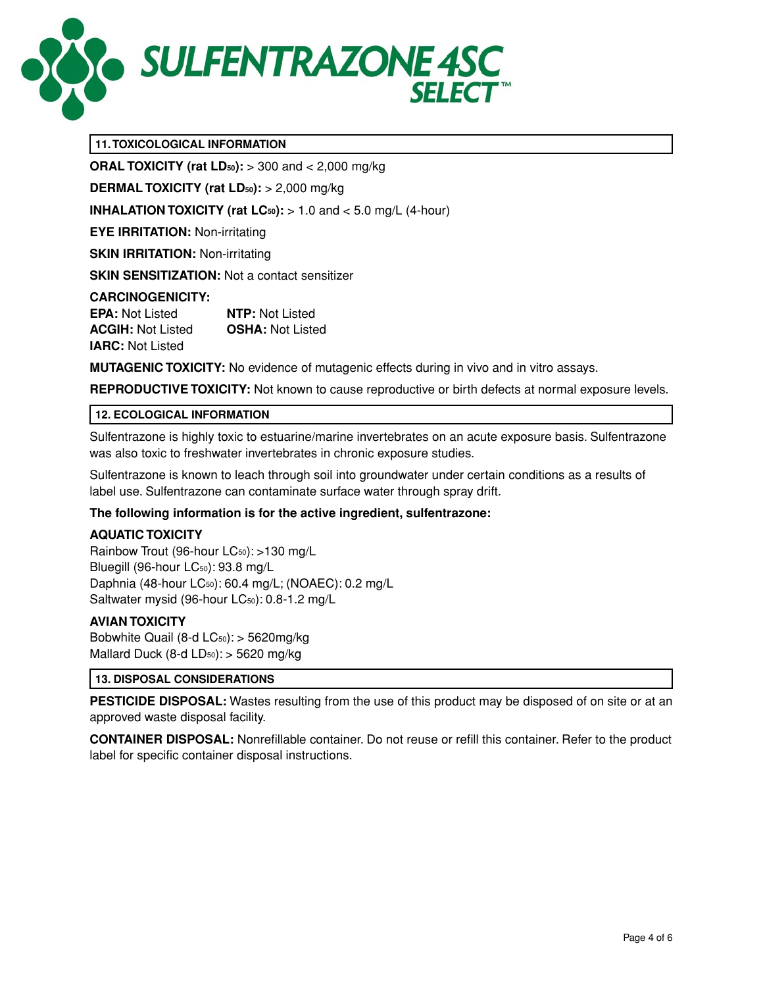

## **11. TOXICOLOGICAL INFORMATION**

**ORAL TOXICITY (rat LD50):** > 300 and < 2,000 mg/kg

**DERMAL TOXICITY (rat LD<sub>50</sub>):** > 2,000 mg/kg

**INHALATION TOXICITY (rat**  $LC_{50}$ **):**  $> 1.0$  and  $< 5.0$  mg/L (4-hour)

**EYE IRRITATION:** Non-irritating

**SKIN IRRITATION: Non-irritating** 

**SKIN SENSITIZATION:** Not a contact sensitizer

#### **CARCINOGENICITY:**

**EPA:** Not Listed **NTP:** Not Listed **ACGIH:** Not Listed **OSHA:** Not Listed **IARC:** Not Listed

**MUTAGENIC TOXICITY:** No evidence of mutagenic effects during in vivo and in vitro assays.

**REPRODUCTIVE TOXICITY:** Not known to cause reproductive or birth defects at normal exposure levels.

#### **12. ECOLOGICAL INFORMATION**

Sulfentrazone is highly toxic to estuarine/marine invertebrates on an acute exposure basis. Sulfentrazone was also toxic to freshwater invertebrates in chronic exposure studies.

Sulfentrazone is known to leach through soil into groundwater under certain conditions as a results of label use. Sulfentrazone can contaminate surface water through spray drift.

#### **The following information is for the active ingredient, sulfentrazone:**

#### **AQUATIC TOXICITY**

Rainbow Trout (96-hour LC<sub>50</sub>): >130 mg/L Bluegill (96-hour LC<sub>50</sub>): 93.8 mg/L Daphnia (48-hour LC50): 60.4 mg/L; (NOAEC): 0.2 mg/L Saltwater mysid (96-hour LC<sub>50</sub>): 0.8-1.2 mg/L

#### **AVIAN TOXICITY**

Bobwhite Quail (8-d LC<sub>50</sub>): > 5620mg/kg Mallard Duck (8-d  $LD_{50}$ ):  $>$  5620 mg/kg

#### **13. DISPOSAL CONSIDERATIONS**

**PESTICIDE DISPOSAL:** Wastes resulting from the use of this product may be disposed of on site or at an approved waste disposal facility.

**CONTAINER DISPOSAL:** Nonrefillable container. Do not reuse or refill this container. Refer to the product label for specific container disposal instructions.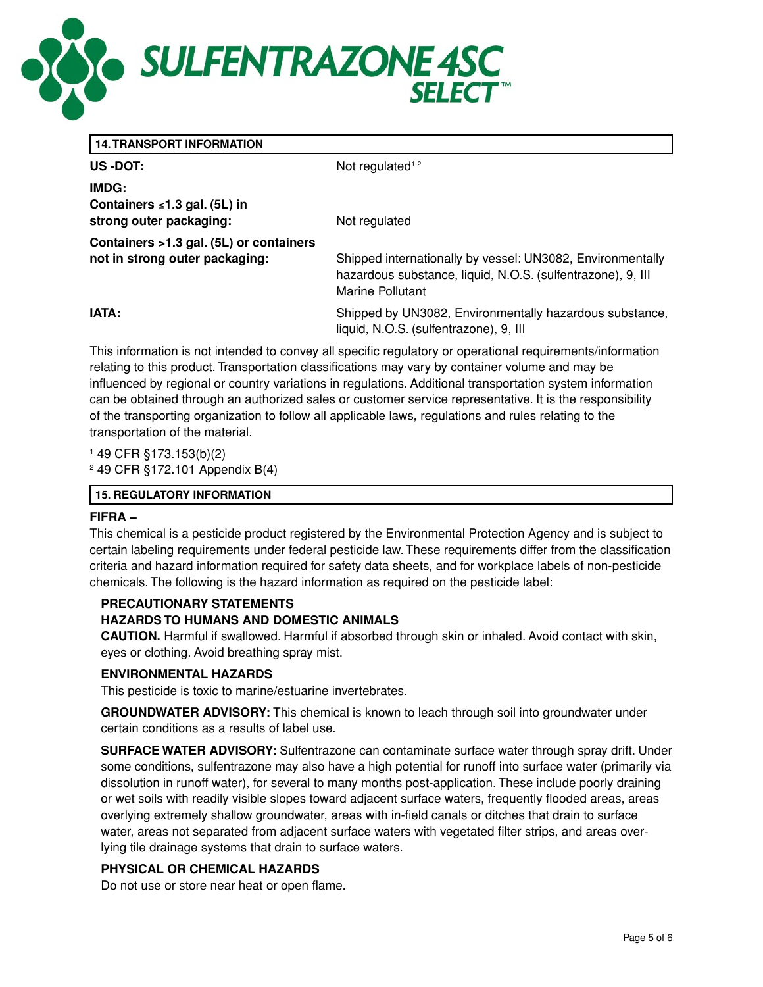

|  |  | <b>14. TRANSPORT INFORMATION</b> |  |  |
|--|--|----------------------------------|--|--|
|  |  |                                  |  |  |

US -DOT: Not regulated<sup>1,2</sup>

**IMDG: Containers** ≤**1.3 gal. (5L) in strong outer packaging:** Not regulated

**Containers >1.3 gal. (5L) or containers** 

**not in strong outer packaging:** Shipped internationally by vessel: UN3082, Environmentally hazardous substance, liquid, N.O.S. (sulfentrazone), 9, III Marine Pollutant

**IATA: IATA: IATA: Shipped by UN3082, Environmentally hazardous substance,** liquid, N.O.S. (sulfentrazone), 9, III

This information is not intended to convey all specific regulatory or operational requirements/information relating to this product. Transportation classifications may vary by container volume and may be influenced by regional or country variations in regulations. Additional transportation system information can be obtained through an authorized sales or customer service representative. It is the responsibility of the transporting organization to follow all applicable laws, regulations and rules relating to the transportation of the material.

1 49 CFR §173.153(b)(2) 2 49 CFR §172.101 Appendix B(4)

## **15. REGULATORY INFORMATION**

## **FIFRA –**

This chemical is a pesticide product registered by the Environmental Protection Agency and is subject to certain labeling requirements under federal pesticide law. These requirements differ from the classification criteria and hazard information required for safety data sheets, and for workplace labels of non-pesticide chemicals. The following is the hazard information as required on the pesticide label:

## **PRECAUTIONARY STATEMENTS**

## **HAZARDS TO HUMANS AND DOMESTIC ANIMALS**

**CAUTION.** Harmful if swallowed. Harmful if absorbed through skin or inhaled. Avoid contact with skin, eyes or clothing. Avoid breathing spray mist.

## **ENVIRONMENTAL HAZARDS**

This pesticide is toxic to marine/estuarine invertebrates.

**GROUNDWATER ADVISORY:** This chemical is known to leach through soil into groundwater under certain conditions as a results of label use.

**SURFACE WATER ADVISORY:** Sulfentrazone can contaminate surface water through spray drift. Under some conditions, sulfentrazone may also have a high potential for runoff into surface water (primarily via dissolution in runoff water), for several to many months post-application. These include poorly draining or wet soils with readily visible slopes toward adjacent surface waters, frequently flooded areas, areas overlying extremely shallow groundwater, areas with in-field canals or ditches that drain to surface water, areas not separated from adjacent surface waters with vegetated filter strips, and areas overlying tile drainage systems that drain to surface waters.

## **PHYSICAL OR CHEMICAL HAZARDS**

Do not use or store near heat or open flame.